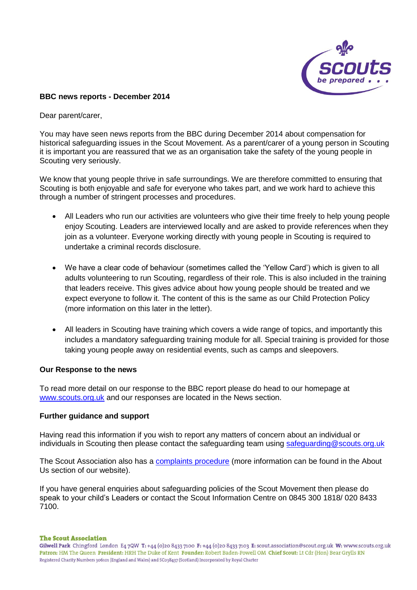

## **BBC news reports - December 2014**

Dear parent/carer,

You may have seen news reports from the BBC during December 2014 about compensation for historical safeguarding issues in the Scout Movement. As a parent/carer of a young person in Scouting it is important you are reassured that we as an organisation take the safety of the young people in Scouting very seriously.

We know that young people thrive in safe surroundings. We are therefore committed to ensuring that Scouting is both enjoyable and safe for everyone who takes part, and we work hard to achieve this through a number of stringent processes and procedures.

- All Leaders who run our activities are volunteers who give their time freely to help young people enjoy Scouting. Leaders are interviewed locally and are asked to provide references when they join as a volunteer. Everyone working directly with young people in Scouting is required to undertake a criminal records disclosure.
- We have a clear code of behaviour (sometimes called the 'Yellow Card') which is given to all adults volunteering to run Scouting, regardless of their role. This is also included in the training that leaders receive. This gives advice about how young people should be treated and we expect everyone to follow it. The content of this is the same as our Child Protection Policy (more information on this later in the letter).
- All leaders in Scouting have training which covers a wide range of topics, and importantly this includes a mandatory safeguarding training module for all. Special training is provided for those taking young people away on residential events, such as camps and sleepovers.

## **Our Response to the news**

To read more detail on our response to the BBC report please do head to our homepage at [www.scouts.org.uk](http://www.scouts.org.uk/) and our responses are located in the News section.

## **Further guidance and support**

Having read this information if you wish to report any matters of concern about an individual or individuals in Scouting then please contact the safeguarding team using [safeguarding@scouts.org.uk](mailto:safeguarding@scouts.org.uk)

The Scout Association also has a [complaints procedure](http://scouts.org.uk/about-us/resolving-complaints/) (more information can be found in the About Us section of our website).

If you have general enquiries about safeguarding policies of the Scout Movement then please do speak to your child's Leaders or contact the Scout Information Centre on 0845 300 1818/ 020 8433 7100.

## **The Scout Association**

Gilwell Park Chingford London E47QW T: +44 (0)20 8433 7100 F: +44 (0)20 8433 7103 E: scout.association@scout.org.uk W: www.scouts.org.uk Patron: HM The Queen President: HRH The Duke of Kent Founder: Robert Baden-Powell OM Chief Scout: Lt Cdr (Hon) Bear Grylls RN Registered Charity Numbers 306101 (England and Wales) and SC038437 (Scotland) Incorporated by Royal Charter